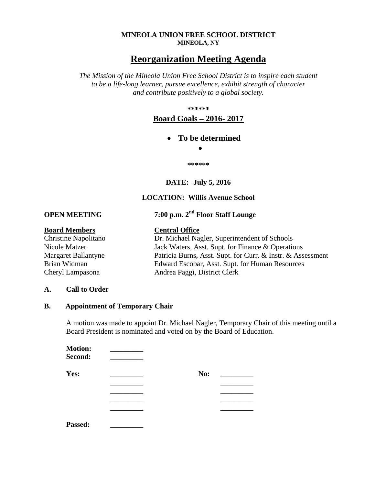#### **MINEOLA UNION FREE SCHOOL DISTRICT MINEOLA, NY**

# **Reorganization Meeting Agenda**

*The Mission of the Mineola Union Free School District is to inspire each student to be a life-long learner, pursue excellence, exhibit strength of character and contribute positively to a global society.* 

**\*\*\*\*\*\*** 

## **Board Goals – 2016- 2017**

### **To be determined**

 $\bullet$ 

**\*\*\*\*\*\*** 

**DATE: July 5, 2016** 

### **LOCATION: Willis Avenue School**

**OPEN MEETING** 7:00 p.m.  $2<sup>nd</sup>$  Floor Staff Lounge

#### **Board Members Central Office**

Christine Napolitano Dr. Michael Nagler, Superintendent of Schools Nicole Matzer Jack Waters, Asst. Supt. for Finance & Operations Margaret Ballantyne Patricia Burns, Asst. Supt. for Curr. & Instr. & Assessment Brian Widman Edward Escobar, Asst. Supt. for Human Resources Cheryl Lampasona Andrea Paggi, District Clerk

#### **A. Call to Order**

### **B. Appointment of Temporary Chair**

A motion was made to appoint Dr. Michael Nagler, Temporary Chair of this meeting until a Board President is nominated and voted on by the Board of Education.

| <b>Motion:</b><br>Second: |     |
|---------------------------|-----|
| Yes:                      | No: |
|                           |     |
|                           |     |
|                           |     |
|                           |     |
| <b>Passed:</b>            |     |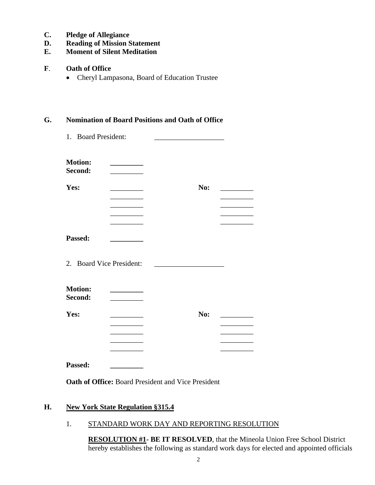- **C. Pledge of Allegiance**
- **D. Reading of Mission Statement**
- **E. Moment of Silent Meditation**
- **F**. **Oath of Office** 
	- Cheryl Lampasona, Board of Education Trustee

### **G. Nomination of Board Positions and Oath of Office**

| <b>Motion:</b><br>Second: |                          |     |
|---------------------------|--------------------------|-----|
| Yes:                      |                          | No: |
|                           |                          |     |
|                           |                          |     |
|                           |                          |     |
| Passed:                   |                          |     |
|                           | 2. Board Vice President: |     |
| <b>Motion:</b><br>Second: |                          |     |
| Yes:                      |                          | No: |
|                           |                          |     |
|                           |                          |     |

**Oath of Office:** Board President and Vice President

# **H. New York State Regulation §315.4**

1. STANDARD WORK DAY AND REPORTING RESOLUTION

**RESOLUTION #1- BE IT RESOLVED**, that the Mineola Union Free School District hereby establishes the following as standard work days for elected and appointed officials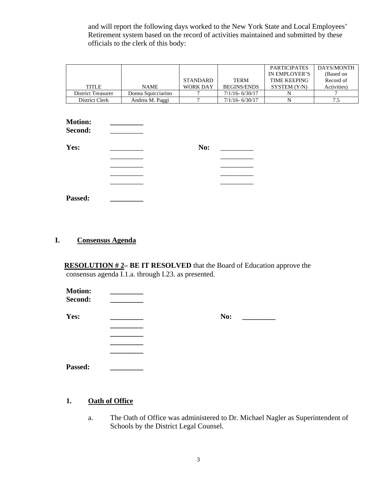and will report the following days worked to the New York State and Local Employees' Retirement system based on the record of activities maintained and submitted by these officials to the clerk of this body:

|                           |                    |                 |                    | <b>PARTICIPATES</b> | DAYS/MONTH  |
|---------------------------|--------------------|-----------------|--------------------|---------------------|-------------|
|                           |                    |                 |                    | IN EMPLOYER'S       | (Based on   |
|                           |                    | <b>STANDARD</b> | <b>TERM</b>        | <b>TIME KEEPING</b> | Record of   |
| TITLE                     | <b>NAME</b>        | <b>WORK DAY</b> | <b>BEGINS/ENDS</b> | SYSTEM (Y/N)        | Activities) |
| <b>District Treasurer</b> | Donna Squicciarino |                 | $7/1/16 - 6/30/17$ |                     |             |
| District Clerk            | Andrea M. Paggi    |                 | $7/1/16 - 6/30/17$ |                     |             |

| <b>Motion:</b><br>Second: |     |  |
|---------------------------|-----|--|
| Yes:                      | No: |  |
|                           |     |  |
|                           |     |  |
|                           |     |  |
|                           |     |  |
| Passed:                   |     |  |

# **I. Consensus Agenda**

**RESOLUTION # 2– BE IT RESOLVED** that the Board of Education approve the consensus agenda I.1.a. through I.23. as presented.

| No: |
|-----|
|     |
|     |
|     |
|     |

| <b>Passed:</b> |  |
|----------------|--|
|----------------|--|

# **1. Oath of Office**

a. The Oath of Office was administered to Dr. Michael Nagler as Superintendent of Schools by the District Legal Counsel.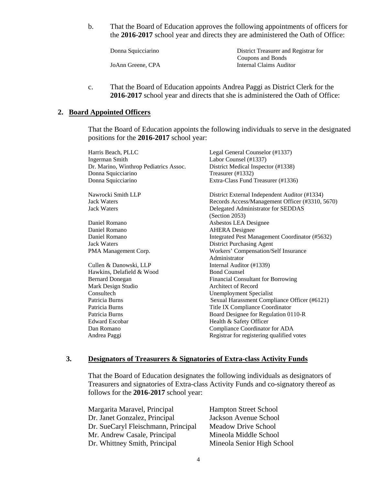b. That the Board of Education approves the following appointments of officers for the **2016-2017** school year and directs they are administered the Oath of Office:

| Donna Squicciarino | District Treasurer and Registrar for |
|--------------------|--------------------------------------|
|                    | Coupons and Bonds                    |
| JoAnn Greene, CPA  | Internal Claims Auditor              |

c. That the Board of Education appoints Andrea Paggi as District Clerk for the **2016-2017** school year and directs that she is administered the Oath of Office:

#### **2. Board Appointed Officers**

That the Board of Education appoints the following individuals to serve in the designated positions for the **2016-2017** school year:

| Harris Beach, PLLC                     | Legal General Counselor (#1337)                 |
|----------------------------------------|-------------------------------------------------|
| <b>Ingerman Smith</b>                  | Labor Counsel (#1337)                           |
| Dr. Marino, Winthrop Pediatrics Assoc. | District Medical Inspector (#1338)              |
| Donna Squicciarino                     | Treasurer (#1332)                               |
| Donna Squicciarino                     | Extra-Class Fund Treasurer (#1336)              |
| Nawrocki Smith LLP                     | District External Independent Auditor (#1334)   |
| <b>Jack Waters</b>                     | Records Access/Management Officer (#3310, 5670) |
| <b>Jack Waters</b>                     | Delegated Administrator for SEDDAS              |
|                                        | (Section 2053)                                  |
| Daniel Romano                          | Asbestos LEA Designee                           |
| Daniel Romano                          | <b>AHERA</b> Designee                           |
| Daniel Romano                          | Integrated Pest Management Coordinator (#5632)  |
| <b>Jack Waters</b>                     | District Purchasing Agent                       |
| PMA Management Corp.                   | Workers' Compensation/Self Insurance            |
|                                        | Administrator                                   |
| Cullen & Danowski, LLP                 | Internal Auditor (#1339)                        |
| Hawkins, Delafield & Wood              | <b>Bond Counsel</b>                             |
| <b>Bernard Donegan</b>                 | <b>Financial Consultant for Borrowing</b>       |
| Mark Design Studio                     | <b>Architect of Record</b>                      |
| Consultech                             | <b>Unemployment Specialist</b>                  |
| Patricia Burns                         | Sexual Harassment Compliance Officer (#6121)    |
| Patricia Burns                         | Title IX Compliance Coordinator                 |
| Patricia Burns                         | Board Designee for Regulation 0110-R            |
| <b>Edward Escobar</b>                  | Health & Safety Officer                         |
| Dan Romano                             | Compliance Coordinator for ADA                  |
| Andrea Paggi                           | Registrar for registering qualified votes       |

#### **3. Designators of Treasurers & Signatories of Extra-class Activity Funds**

That the Board of Education designates the following individuals as designators of Treasurers and signatories of Extra-class Activity Funds and co-signatory thereof as follows for the **2016-2017** school year:

| Margarita Maravel, Principal        | <b>Hampton Street School</b> |
|-------------------------------------|------------------------------|
| Dr. Janet Gonzalez, Principal       | Jackson Avenue School        |
| Dr. SueCaryl Fleischmann, Principal | Meadow Drive School          |
| Mr. Andrew Casale, Principal        | Mineola Middle School        |
| Dr. Whittney Smith, Principal       | Mineola Senior High School   |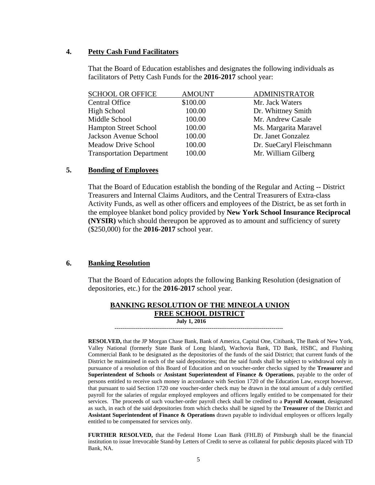#### **4. Petty Cash Fund Facilitators**

That the Board of Education establishes and designates the following individuals as facilitators of Petty Cash Funds for the **2016-2017** school year:

| <b>SCHOOL OR OFFICE</b>          | <b>AMOUNT</b> | <b>ADMINISTRATOR</b>     |
|----------------------------------|---------------|--------------------------|
| <b>Central Office</b>            | \$100.00      | Mr. Jack Waters          |
| High School                      | 100.00        | Dr. Whittney Smith       |
| Middle School                    | 100.00        | Mr. Andrew Casale        |
| <b>Hampton Street School</b>     | 100.00        | Ms. Margarita Maravel    |
| Jackson Avenue School            | 100.00        | Dr. Janet Gonzalez       |
| <b>Meadow Drive School</b>       | 100.00        | Dr. SueCaryl Fleischmann |
| <b>Transportation Department</b> | 100.00        | Mr. William Gilberg      |

#### **5. Bonding of Employees**

 That the Board of Education establish the bonding of the Regular and Acting -- District Treasurers and Internal Claims Auditors, and the Central Treasurers of Extra-class Activity Funds, as well as other officers and employees of the District, be as set forth in the employee blanket bond policy provided by **New York School Insurance Reciprocal (NYSIR)** which should thereupon be approved as to amount and sufficiency of surety (\$250,000) for the **2016-2017** school year.

#### **6. Banking Resolution**

That the Board of Education adopts the following Banking Resolution (designation of depositories, etc.) for the **2016-2017** school year.

#### **BANKING RESOLUTION OF THE MINEOLA UNION FREE SCHOOL DISTRICT July 1, 2016**

---------------------------------------------------------------------------------------

 **RESOLVED,** that the JP Morgan Chase Bank, Bank of America, Capital One, Citibank, The Bank of New York, Valley National (formerly State Bank of Long Island), Wachovia Bank, TD Bank, HSBC, and Flushing Commercial Bank to be designated as the depositories of the funds of the said District; that current funds of the District be maintained in each of the said depositories; that the said funds shall be subject to withdrawal only in pursuance of a resolution of this Board of Education and on voucher-order checks signed by the **Treasurer** and **Superintendent of Schools** or **Assistant Superintendent of Finance & Operations**, payable to the order of persons entitled to receive such money in accordance with Section 1720 of the Education Law, except however, that pursuant to said Section 1720 one voucher-order check may be drawn in the total amount of a duly certified payroll for the salaries of regular employed employees and officers legally entitled to be compensated for their services. The proceeds of such voucher-order payroll check shall be credited to a **Payroll Account**, designated as such, in each of the said depositories from which checks shall be signed by the **Treasurer** of the District and **Assistant Superintendent of Finance & Operations** drawn payable to individual employees or officers legally entitled to be compensated for services only.

**FURTHER RESOLVED,** that the Federal Home Loan Bank (FHLB) of Pittsburgh shall be the financial institution to issue Irrevocable Stand-by Letters of Credit to serve as collateral for public deposits placed with TD Bank, NA.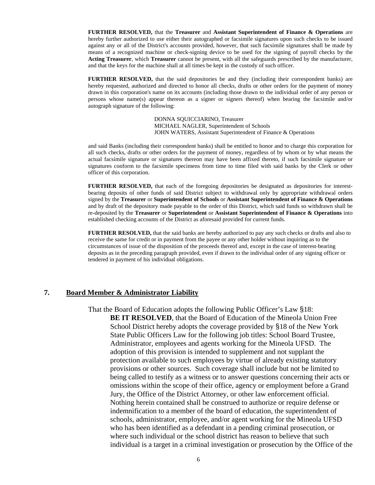**FURTHER RESOLVED,** that the **Treasurer** and **Assistant Superintendent of Finance & Operations** are hereby further authorized to use either their autographed or facsimile signatures upon such checks to be issued against any or all of the District's accounts provided, however, that such facsimile signatures shall be made by means of a recognized machine or check-signing device to be used for the signing of payroll checks by the **Acting Treasurer**, which **Treasurer** cannot be present, with all the safeguards prescribed by the manufacturer, and that the keys for the machine shall at all times be kept in the custody of such officer.

**FURTHER RESOLVED,** that the said depositories be and they (including their correspondent banks) are hereby requested, authorized and directed to honor all checks, drafts or other orders for the payment of money drawn in this corporation's name on its accounts (including those drawn to the individual order of any person or persons whose name(s) appear thereon as a signer or signers thereof) when bearing the facsimile and/or autograph signature of the following:

> DONNA SQUICCIARINO, Treasurer MICHAEL NAGLER, Superintendent of Schools JOHN WATERS, Assistant Superintendent of Finance & Operations

and said Banks (including their correspondent banks) shall be entitled to honor and to charge this corporation for all such checks, drafts or other orders for the payment of money, regardless of by whom or by what means the actual facsimile signature or signatures thereon may have been affixed thereto, if such facsimile signature or signatures conform to the facsimile specimens from time to time filed with said banks by the Clerk or other officer of this corporation.

**FURTHER RESOLVED,** that each of the foregoing depositories be designated as depositories for interestbearing deposits of other funds of said District subject to withdrawal only by appropriate withdrawal orders signed by the **Treasurer** or **Superintendent of Schools** or **Assistant Superintendent of Finance & Operations** and by draft of the depository made payable to the order of this District, which said funds so withdrawn shall be re-deposited by the **Treasurer** or **Superintendent** or **Assistant Superintendent of Finance & Operations** into established checking accounts of the District as aforesaid provided for current funds.

**FURTHER RESOLVED,** that the said banks are hereby authorized to pay any such checks or drafts and also to receive the same for credit or in payment from the payee or any other holder without inquiring as to the circumstances of issue of the disposition of the proceeds thereof and, except in the case of interest-bearing deposits as in the preceding paragraph provided, even if drawn to the individual order of any signing officer or tendered in payment of his individual obligations.

#### **7. Board Member & Administrator Liability**

 That the Board of Education adopts the following Public Officer's Law §18: **BE IT RESOLVED**, that the Board of Education of the Mineola Union Free School District hereby adopts the coverage provided by §18 of the New York State Public Officers Law for the following job titles: School Board Trustee, Administrator, employees and agents working for the Mineola UFSD. The adoption of this provision is intended to supplement and not supplant the protection available to such employees by virtue of already existing statutory provisions or other sources. Such coverage shall include but not be limited to being called to testify as a witness or to answer questions concerning their acts or omissions within the scope of their office, agency or employment before a Grand Jury, the Office of the District Attorney, or other law enforcement official. Nothing herein contained shall be construed to authorize or require defense or indemnification to a member of the board of education, the superintendent of schools, administrator, employee, and/or agent working for the Mineola UFSD who has been identified as a defendant in a pending criminal prosecution, or where such individual or the school district has reason to believe that such individual is a target in a criminal investigation or prosecution by the Office of the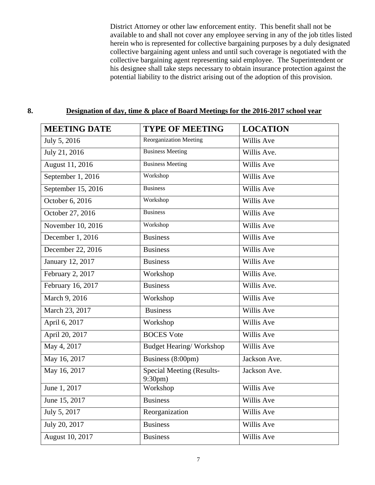District Attorney or other law enforcement entity. This benefit shall not be available to and shall not cover any employee serving in any of the job titles listed herein who is represented for collective bargaining purposes by a duly designated collective bargaining agent unless and until such coverage is negotiated with the collective bargaining agent representing said employee. The Superintendent or his designee shall take steps necessary to obtain insurance protection against the potential liability to the district arising out of the adoption of this provision.

# **MEETING DATE** TYPE OF MEETING LOCATION July 5, 2016 Reorganization Meeting Willis Ave July 21, 2016 Business Meeting Willis Ave. August 11, 2016 Business Meeting Willis Ave September 1, 2016 Workshop Workshop Willis Ave September 15, 2016 Business Willis Ave October 6, 2016 Workshop Workshop Willis Ave October 27, 2016 Business Willis Ave November 10, 2016 Workshop Workshop Willis Ave December 1, 2016 Business Willis Ave December 22, 2016 Business Willis Ave January 12, 2017 Business Willis Ave February 2, 2017 Workshop Willis Ave. February 16, 2017 **Business** Willis Ave. March 9, 2016 Workshop Willis Ave March 23, 2017 **Business** Willis Ave April 6, 2017 Workshop Willis Ave April 20, 2017 BOCES Vote Willis Ave May 4, 2017 **Budget Hearing/ Workshop** Willis Ave May 16, 2017 **Business (8:00pm)** Jackson Ave. May 16, 2017 Special Meeting (Results-9:30pm) Jackson Ave. June 1, 2017 Workshop Willis Ave June 15, 2017 **Business** Willis Ave July 5, 2017 Reorganization Willis Ave July 20, 2017 **Business** Willis Ave August 10, 2017 **Business** Willis Ave

#### **8. Designation of day, time & place of Board Meetings for the 2016-2017 school year**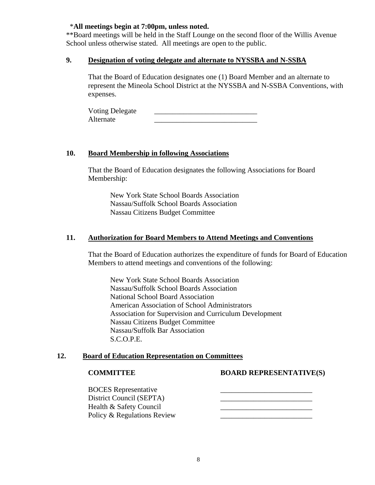### \***All meetings begin at 7:00pm, unless noted.**

\*\*Board meetings will be held in the Staff Lounge on the second floor of the Willis Avenue School unless otherwise stated. All meetings are open to the public.

#### **9. Designation of voting delegate and alternate to NYSSBA and N-SSBA**

That the Board of Education designates one (1) Board Member and an alternate to represent the Mineola School District at the NYSSBA and N-SSBA Conventions, with expenses.

Voting Delegate Alternate

#### **10. Board Membership in following Associations**

That the Board of Education designates the following Associations for Board Membership:

New York State School Boards Association Nassau/Suffolk School Boards Association Nassau Citizens Budget Committee

#### **11. Authorization for Board Members to Attend Meetings and Conventions**

That the Board of Education authorizes the expenditure of funds for Board of Education Members to attend meetings and conventions of the following:

New York State School Boards Association Nassau/Suffolk School Boards Association National School Board Association American Association of School Administrators Association for Supervision and Curriculum Development Nassau Citizens Budget Committee Nassau/Suffolk Bar Association S.C.O.P.E.

#### **12. Board of Education Representation on Committees**

#### **COMMITTEE BOARD REPRESENTATIVE(S)**

BOCES Representative District Council (SEPTA) Health & Safety Council **Execution** Policy & Regulations Review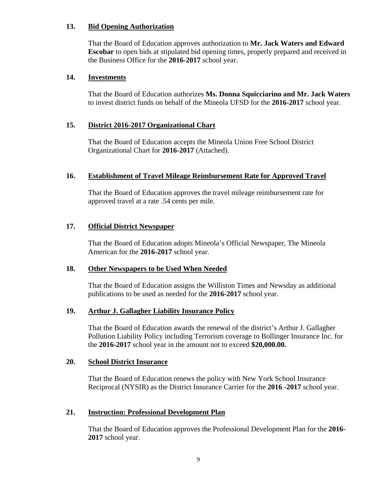### **13. Bid Opening Authorization**

That the Board of Education approves authorization to **Mr. Jack Waters and Edward Escobar** to open bids at stipulated bid opening times, properly prepared and received in the Business Office for the **2016-2017** school year.

#### **14. Investments**

That the Board of Education authorizes **Ms. Donna Squicciarino and Mr. Jack Waters** to invest district funds on behalf of the Mineola UFSD for the **2016-2017** school year.

### **15. District 2016-2017 Organizational Chart**

That the Board of Education accepts the Mineola Union Free School District Organizational Chart for **2016-2017** (Attached).

#### **16. Establishment of Travel Mileage Reimbursement Rate for Approved Travel**

That the Board of Education approves the travel mileage reimbursement rate for approved travel at a rate .54 cents per mile.

### **17. Official District Newspaper**

That the Board of Education adopts Mineola's Official Newspaper, The Mineola American for the **2016-2017** school year.

#### **18. Other Newspapers to be Used When Needed**

That the Board of Education assigns the Williston Times and Newsday as additional publications to be used as needed for the **2016-2017** school year.

#### **19. Arthur J. Gallagher Liability Insurance Policy**

That the Board of Education awards the renewal of the district's Arthur J. Gallagher Pollution Liability Policy including Terrorism coverage to Bollinger Insurance Inc. for the **2016-2017** school year in the amount not to exceed **\$20,000.00.**

#### **20. School District Insurance**

That the Board of Education renews the policy with New York School Insurance Reciprocal (NYSIR) as the District Insurance Carrier for the **2016 -2017** school year.

#### **21. Instruction: Professional Development Plan**

That the Board of Education approves the Professional Development Plan for the **2016- 2017** school year.